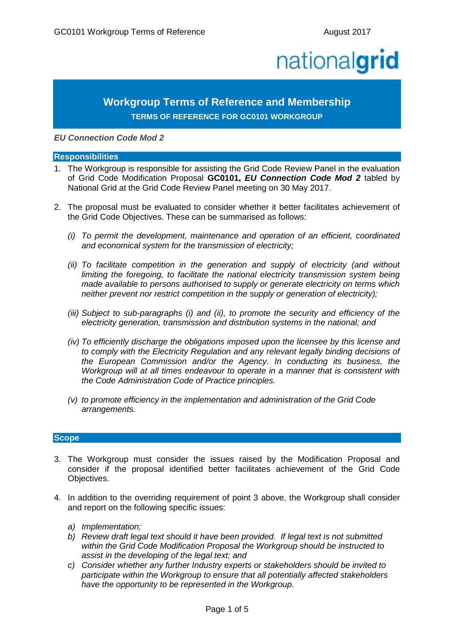# nationalgrid

## **Workgroup Terms of Reference and Membership TERMS OF REFERENCE FOR GC0101 WORKGROUP**

*EU Connection Code Mod 2*

#### **Responsibilities**

- 1. The Workgroup is responsible for assisting the Grid Code Review Panel in the evaluation of Grid Code Modification Proposal **GC0101,** *EU Connection Code Mod 2* tabled by National Grid at the Grid Code Review Panel meeting on 30 May 2017.
- 2. The proposal must be evaluated to consider whether it better facilitates achievement of the Grid Code Objectives. These can be summarised as follows:
	- *(i) To permit the development, maintenance and operation of an efficient, coordinated and economical system for the transmission of electricity;*
	- *(ii) To facilitate competition in the generation and supply of electricity (and without limiting the foregoing, to facilitate the national electricity transmission system being made available to persons authorised to supply or generate electricity on terms which neither prevent nor restrict competition in the supply or generation of electricity);*
	- *(iii) Subject to sub-paragraphs (i) and (ii), to promote the security and efficiency of the electricity generation, transmission and distribution systems in the national; and*
	- *(iv) To efficiently discharge the obligations imposed upon the licensee by this license and to comply with the Electricity Regulation and any relevant legally binding decisions of the European Commission and/or the Agency. In conducting its business, the Workgroup will at all times endeavour to operate in a manner that is consistent with the Code Administration Code of Practice principles.*
	- *(v) to promote efficiency in the implementation and administration of the Grid Code arrangements.*

#### **Scope**

- 3. The Workgroup must consider the issues raised by the Modification Proposal and consider if the proposal identified better facilitates achievement of the Grid Code Objectives.
- 4. In addition to the overriding requirement of point 3 above, the Workgroup shall consider and report on the following specific issues:
	- *a) Implementation;*
	- *b) Review draft legal text should it have been provided. If legal text is not submitted within the Grid Code Modification Proposal the Workgroup should be instructed to assist in the developing of the legal text; and*
	- *c) Consider whether any further Industry experts or stakeholders should be invited to participate within the Workgroup to ensure that all potentially affected stakeholders have the opportunity to be represented in the Workgroup.*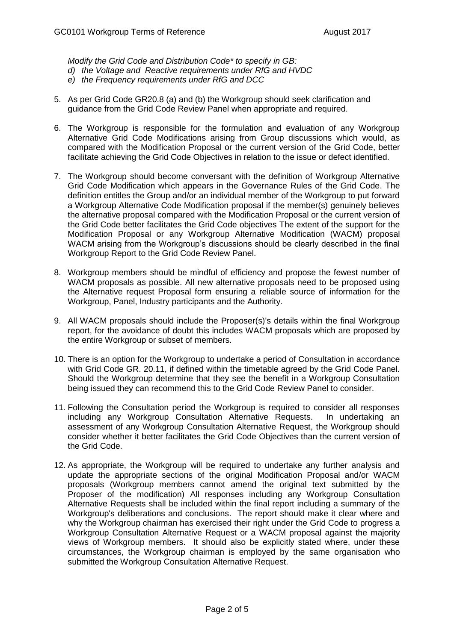*Modify the Grid Code and Distribution Code\* to specify in GB:*

- *d) the Voltage and Reactive requirements under RfG and HVDC*
- *e) the Frequency requirements under RfG and DCC*
- 5. As per Grid Code GR20.8 (a) and (b) the Workgroup should seek clarification and guidance from the Grid Code Review Panel when appropriate and required.
- 6. The Workgroup is responsible for the formulation and evaluation of any Workgroup Alternative Grid Code Modifications arising from Group discussions which would, as compared with the Modification Proposal or the current version of the Grid Code, better facilitate achieving the Grid Code Objectives in relation to the issue or defect identified.
- 7. The Workgroup should become conversant with the definition of Workgroup Alternative Grid Code Modification which appears in the Governance Rules of the Grid Code. The definition entitles the Group and/or an individual member of the Workgroup to put forward a Workgroup Alternative Code Modification proposal if the member(s) genuinely believes the alternative proposal compared with the Modification Proposal or the current version of the Grid Code better facilitates the Grid Code objectives The extent of the support for the Modification Proposal or any Workgroup Alternative Modification (WACM) proposal WACM arising from the Workgroup's discussions should be clearly described in the final Workgroup Report to the Grid Code Review Panel.
- 8. Workgroup members should be mindful of efficiency and propose the fewest number of WACM proposals as possible. All new alternative proposals need to be proposed using the Alternative request Proposal form ensuring a reliable source of information for the Workgroup, Panel, Industry participants and the Authority.
- 9. All WACM proposals should include the Proposer(s)'s details within the final Workgroup report, for the avoidance of doubt this includes WACM proposals which are proposed by the entire Workgroup or subset of members.
- 10. There is an option for the Workgroup to undertake a period of Consultation in accordance with Grid Code GR. 20.11, if defined within the timetable agreed by the Grid Code Panel. Should the Workgroup determine that they see the benefit in a Workgroup Consultation being issued they can recommend this to the Grid Code Review Panel to consider.
- 11. Following the Consultation period the Workgroup is required to consider all responses including any Workgroup Consultation Alternative Requests. In undertaking an assessment of any Workgroup Consultation Alternative Request, the Workgroup should consider whether it better facilitates the Grid Code Objectives than the current version of the Grid Code.
- 12. As appropriate, the Workgroup will be required to undertake any further analysis and update the appropriate sections of the original Modification Proposal and/or WACM proposals (Workgroup members cannot amend the original text submitted by the Proposer of the modification) All responses including any Workgroup Consultation Alternative Requests shall be included within the final report including a summary of the Workgroup's deliberations and conclusions. The report should make it clear where and why the Workgroup chairman has exercised their right under the Grid Code to progress a Workgroup Consultation Alternative Request or a WACM proposal against the majority views of Workgroup members. It should also be explicitly stated where, under these circumstances, the Workgroup chairman is employed by the same organisation who submitted the Workgroup Consultation Alternative Request.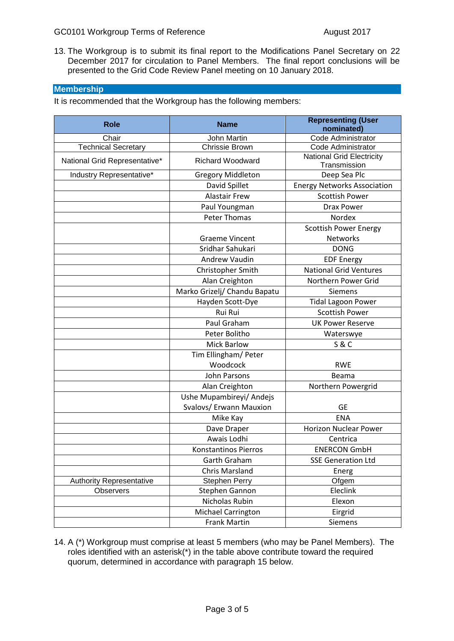13. The Workgroup is to submit its final report to the Modifications Panel Secretary on 22 December 2017 for circulation to Panel Members. The final report conclusions will be presented to the Grid Code Review Panel meeting on 10 January 2018.

### **Membership**

It is recommended that the Workgroup has the following members:

| <b>Role</b>                     | <b>Name</b>                  | <b>Representing (User</b>          |
|---------------------------------|------------------------------|------------------------------------|
|                                 |                              | nominated)                         |
| Chair                           | John Martin                  | Code Administrator                 |
| <b>Technical Secretary</b>      | Chrissie Brown               | Code Administrator                 |
| National Grid Representative*   | <b>Richard Woodward</b>      | <b>National Grid Electricity</b>   |
|                                 |                              | Transmission                       |
| Industry Representative*        | <b>Gregory Middleton</b>     | Deep Sea Plc                       |
|                                 | David Spillet                | <b>Energy Networks Association</b> |
|                                 | <b>Alastair Frew</b>         | <b>Scottish Power</b>              |
|                                 | Paul Youngman                | <b>Drax Power</b>                  |
|                                 | <b>Peter Thomas</b>          | Nordex                             |
|                                 |                              | <b>Scottish Power Energy</b>       |
|                                 | <b>Graeme Vincent</b>        | Networks                           |
|                                 | Sridhar Sahukari             | <b>DONG</b>                        |
|                                 | Andrew Vaudin                | <b>EDF Energy</b>                  |
|                                 | Christopher Smith            | <b>National Grid Ventures</b>      |
|                                 | Alan Creighton               | Northern Power Grid                |
|                                 | Marko Grizelj/ Chandu Bapatu | <b>Siemens</b>                     |
|                                 | Hayden Scott-Dye             | <b>Tidal Lagoon Power</b>          |
|                                 | Rui Rui                      | <b>Scottish Power</b>              |
|                                 | Paul Graham                  | <b>UK Power Reserve</b>            |
|                                 | Peter Bolitho                | Waterswye                          |
|                                 | <b>Mick Barlow</b>           | <b>S&amp;C</b>                     |
|                                 | Tim Ellingham/ Peter         |                                    |
|                                 | Woodcock                     | <b>RWE</b>                         |
|                                 | <b>John Parsons</b>          | Beama                              |
|                                 | Alan Creighton               | Northern Powergrid                 |
|                                 | Ushe Mupambireyi/ Andejs     |                                    |
|                                 | Svalovs/ Erwann Mauxion      | <b>GE</b>                          |
|                                 | Mike Kay                     | <b>ENA</b>                         |
|                                 | Dave Draper                  | <b>Horizon Nuclear Power</b>       |
|                                 | Awais Lodhi                  | Centrica                           |
|                                 | <b>Konstantinos Pierros</b>  | <b>ENERCON GmbH</b>                |
|                                 | Garth Graham                 | <b>SSE Generation Ltd</b>          |
|                                 | <b>Chris Marsland</b>        | Energ                              |
| <b>Authority Representative</b> | <b>Stephen Perry</b>         | Ofgem                              |
| <b>Observers</b>                | Stephen Gannon               | Eleclink                           |
|                                 | Nicholas Rubin               | Elexon                             |
|                                 | Michael Carrington           | Eirgrid                            |
|                                 | <b>Frank Martin</b>          | Siemens                            |

14. A (\*) Workgroup must comprise at least 5 members (who may be Panel Members). The roles identified with an asterisk(\*) in the table above contribute toward the required quorum, determined in accordance with paragraph 15 below.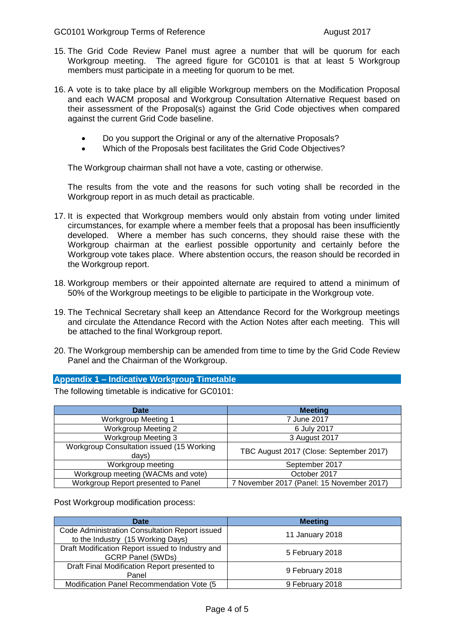- 15. The Grid Code Review Panel must agree a number that will be quorum for each Workgroup meeting. The agreed figure for GC0101 is that at least 5 Workgroup members must participate in a meeting for quorum to be met.
- 16. A vote is to take place by all eligible Workgroup members on the Modification Proposal and each WACM proposal and Workgroup Consultation Alternative Request based on their assessment of the Proposal(s) against the Grid Code objectives when compared against the current Grid Code baseline.
	- Do you support the Original or any of the alternative Proposals?
	- Which of the Proposals best facilitates the Grid Code Objectives?

The Workgroup chairman shall not have a vote, casting or otherwise.

The results from the vote and the reasons for such voting shall be recorded in the Workgroup report in as much detail as practicable.

- 17. It is expected that Workgroup members would only abstain from voting under limited circumstances, for example where a member feels that a proposal has been insufficiently developed. Where a member has such concerns, they should raise these with the Workgroup chairman at the earliest possible opportunity and certainly before the Workgroup vote takes place. Where abstention occurs, the reason should be recorded in the Workgroup report.
- 18. Workgroup members or their appointed alternate are required to attend a minimum of 50% of the Workgroup meetings to be eligible to participate in the Workgroup vote.
- 19. The Technical Secretary shall keep an Attendance Record for the Workgroup meetings and circulate the Attendance Record with the Action Notes after each meeting. This will be attached to the final Workgroup report.
- 20. The Workgroup membership can be amended from time to time by the Grid Code Review Panel and the Chairman of the Workgroup.

#### **Appendix 1 – Indicative Workgroup Timetable**

The following timetable is indicative for GC0101:

| <b>Date</b>                                        | <b>Meeting</b>                            |
|----------------------------------------------------|-------------------------------------------|
| <b>Workgroup Meeting 1</b>                         | 7 June 2017                               |
| <b>Workgroup Meeting 2</b>                         | 6 July 2017                               |
| <b>Workgroup Meeting 3</b>                         | 3 August 2017                             |
| Workgroup Consultation issued (15 Working<br>days) | TBC August 2017 (Close: September 2017)   |
| Workgroup meeting                                  | September 2017                            |
| Workgroup meeting (WACMs and vote)                 | October 2017                              |
| Workgroup Report presented to Panel                | 7 November 2017 (Panel: 15 November 2017) |

Post Workgroup modification process:

| Date                                                                                | <b>Meeting</b>  |
|-------------------------------------------------------------------------------------|-----------------|
| Code Administration Consultation Report issued<br>to the Industry (15 Working Days) | 11 January 2018 |
| Draft Modification Report issued to Industry and<br><b>GCRP Panel (5WDs)</b>        | 5 February 2018 |
| Draft Final Modification Report presented to<br>Panel                               | 9 February 2018 |
| Modification Panel Recommendation Vote (5)                                          | 9 February 2018 |